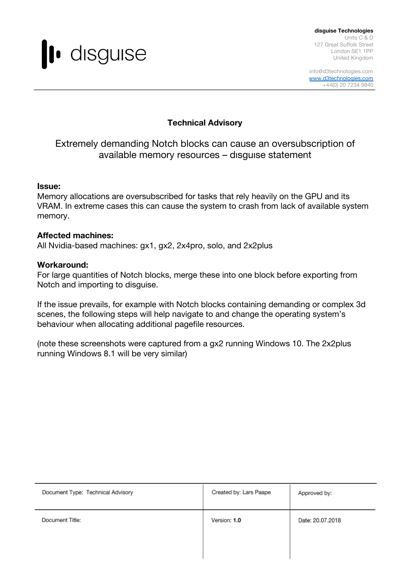

**disguise Technologies** Units C & D 127 Great Suffolk Street London SE1 1PP United Kingdom

info@d3technologies.com [www.d3technologies.com](http://www.d3technologies.com/) +44(0) 20 7234 9840

## **Technical Advisory**

# Extremely demanding Notch blocks can cause an oversubscription of available memory resources – dısguıse statement

#### **Issue:**

Memory allocations are oversubscribed for tasks that rely heavily on the GPU and its VRAM. In extreme cases this can cause the system to crash from lack of available system memory.

#### **Affected machines:**

All Nvidia-based machines: gx1, gx2, 2x4pro, solo, and 2x2plus

#### **Workaround:**

For large quantities of Notch blocks, merge these into one block before exporting from Notch and importing to disguise.

If the issue prevails, for example with Notch blocks containing demanding or complex 3d scenes, the following steps will help navigate to and change the operating system's behaviour when allocating additional pagefile resources.

(note these screenshots were captured from a gx2 running Windows 10. The 2x2plus running Windows 8.1 will be very similar)

| Document Type: Technical Advisory | Created by: Lars Paape | Approved by:     |
|-----------------------------------|------------------------|------------------|
| Document Title:                   | Version: 1.0           | Date: 20.07.2018 |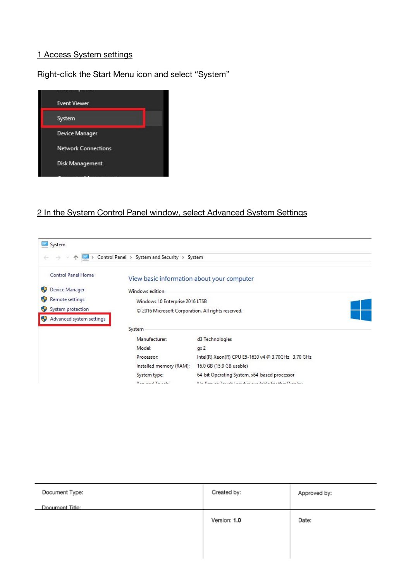#### 1 Access System settings

Right-click the Start Menu icon and select "System"



#### 2 In the System Control Panel window, select Advanced System Settings



| Document Type:  | Created by:  | Approved by: |
|-----------------|--------------|--------------|
| Document Title: |              |              |
|                 | Version: 1.0 | Date:        |
|                 |              |              |
|                 |              |              |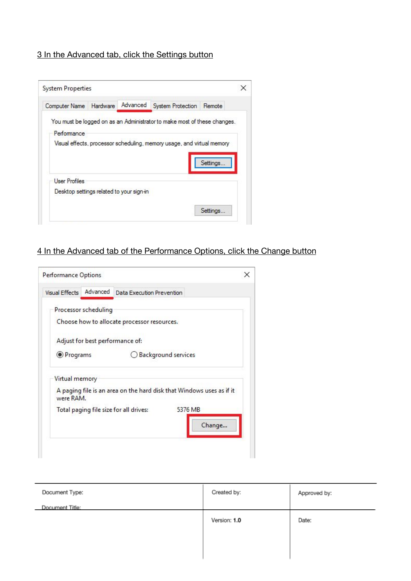## 3 In the Advanced tab, click the Settings button

| Computer Name        | Hardware | Advanced | System Protection                                                        | Remote   |
|----------------------|----------|----------|--------------------------------------------------------------------------|----------|
|                      |          |          | You must be logged on as an Administrator to make most of these changes. |          |
| Performance          |          |          |                                                                          |          |
|                      |          |          | Visual effects, processor scheduling, memory usage, and virtual memory   |          |
|                      |          |          |                                                                          |          |
|                      |          |          |                                                                          |          |
|                      |          |          |                                                                          | Settings |
| <b>User Profiles</b> |          |          |                                                                          |          |
|                      |          |          |                                                                          |          |

# 4 In the Advanced tab of the Performance Options, click the Change button

| Performance Options |                      |                                                                      |         |
|---------------------|----------------------|----------------------------------------------------------------------|---------|
| Visual Effects      | Advanced             | Data Execution Prevention                                            |         |
|                     | Processor scheduling | Choose how to allocate processor resources.                          |         |
|                     |                      | Adjust for best performance of:                                      |         |
| <b>O</b> Programs   |                      | <b>Background services</b>                                           |         |
| Virtual memory      |                      |                                                                      |         |
| were RAM.           |                      | A paging file is an area on the hard disk that Windows uses as if it |         |
|                     |                      | Total paging file size for all drives:                               | 5376 MB |
|                     |                      |                                                                      | Change  |
|                     |                      |                                                                      |         |

| Document Type:  | Created by:  | Approved by: |
|-----------------|--------------|--------------|
| Document Title: |              |              |
|                 | Version: 1.0 | Date:        |
|                 |              |              |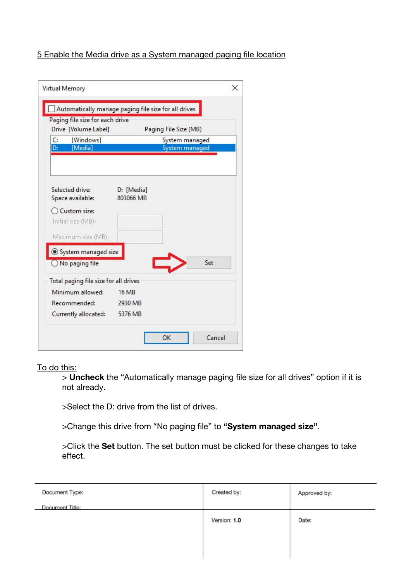## 5 Enable the Media drive as a System managed paging file location

| Paging file size for each drive       |                |                       |     |
|---------------------------------------|----------------|-----------------------|-----|
| Drive [Volume Label]                  |                | Paging File Size (MB) |     |
| C:<br>[Windows]                       | System managed |                       |     |
| [Media]<br>D:                         |                | System managed        |     |
|                                       |                |                       |     |
|                                       |                |                       |     |
| Selected drive:                       | D: [Media]     |                       |     |
| Space available:                      | 803066 MB      |                       |     |
| Custom size:                          |                |                       |     |
| Initial size (MB):                    |                |                       |     |
| Maximum size (MB):                    |                |                       |     |
|                                       |                |                       |     |
| System managed size                   |                |                       |     |
| $\bigcirc$ No paging file             |                |                       | Set |
| Total paging file size for all drives |                |                       |     |
| Minimum allowed:                      | <b>16 MB</b>   |                       |     |
| Recommended:                          | 2930 MB        |                       |     |
| Currently allocated: 5376 MB          |                |                       |     |

To do this:

> **Uncheck** the "Automatically manage paging file size for all drives" option if it is not already.

>Select the D: drive from the list of drives.

>Change this drive from "No paging file" to **"System managed size"**.

>Click the **Set** button. The set button must be clicked for these changes to take effect.

| Document Type:  | Created by:  | Approved by: |
|-----------------|--------------|--------------|
| Document Title: |              |              |
|                 | Version: 1.0 | Date:        |
|                 |              |              |